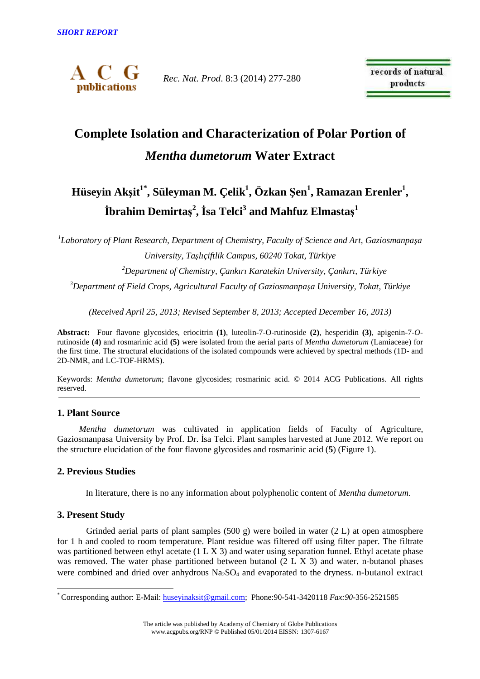

*Rec. Nat. Prod*. 8:3 (2014) 277-280

records of natural products

# **Complete Isolation and Characterization of Polar Portion of**  *Mentha dumetorum* **Water Extract**

# **Hüseyin Akşit1\*, Süleyman M. Çelik<sup>1</sup> , Özkan Şen<sup>1</sup> , Ramazan Erenler<sup>1</sup> , İbrahim Demirtaş 2 , İsa Telci<sup>3</sup> and Mahfuz Elmastaş 1**

*1 Laboratory of Plant Research, Department of Chemistry, Faculty of Science and Art, Gaziosmanpaşa University, Taşlıçiftlik Campus, 60240 Tokat, Türkiye* 

*<sup>2</sup>Department of Chemistry, Çankırı Karatekin University, Çankırı, Türkiye* 

*<sup>3</sup>Department of Field Crops, Agricultural Faculty of Gaziosmanpaşa University, Tokat, Türkiye* 

*(Received April 25, 2013; Revised September 8, 2013; Accepted December 16, 2013)* 

**Abstract:** Four flavone glycosides, eriocitrin **(1)**, luteolin-7-O-rutinoside **(2)**, hesperidin **(3)**, apigenin-7-*O*rutinoside **(4)** and rosmarinic acid **(5)** were isolated from the aerial parts of *Mentha dumetorum* (Lamiaceae) for the first time. The structural elucidations of the isolated compounds were achieved by spectral methods (1D- and 2D-NMR, and LC-TOF-HRMS).

Keywords: *Mentha dumetorum*; flavone glycosides; rosmarinic acid. © 2014 ACG Publications. All rights reserved.

## **1. Plant Source**

*Mentha dumetorum* was cultivated in application fields of Faculty of Agriculture, Gaziosmanpasa University by Prof. Dr. İsa Telci. Plant samples harvested at June 2012. We report on the structure elucidation of the four flavone glycosides and rosmarinic acid (**5**) (Figure 1).

## **2. Previous Studies**

In literature, there is no any information about polyphenolic content of *Mentha dumetorum*.

#### **3. Present Study**

 $\overline{a}$ 

Grinded aerial parts of plant samples  $(500 \text{ g})$  were boiled in water  $(2 \text{ L})$  at open atmosphere for 1 h and cooled to room temperature. Plant residue was filtered off using filter paper. The filtrate was partitioned between ethyl acetate (1 L X 3) and water using separation funnel. Ethyl acetate phase was removed. The water phase partitioned between butanol (2 L X 3) and water. n-butanol phases were combined and dried over anhydrous  $Na_2SO_4$  and evaporated to the dryness. n-butanol extract

<sup>\*</sup> Corresponding author: E-Mail: huseyinaksit@gmail.com; Phone:90-541-3420118 *Fax:90*-356-2521585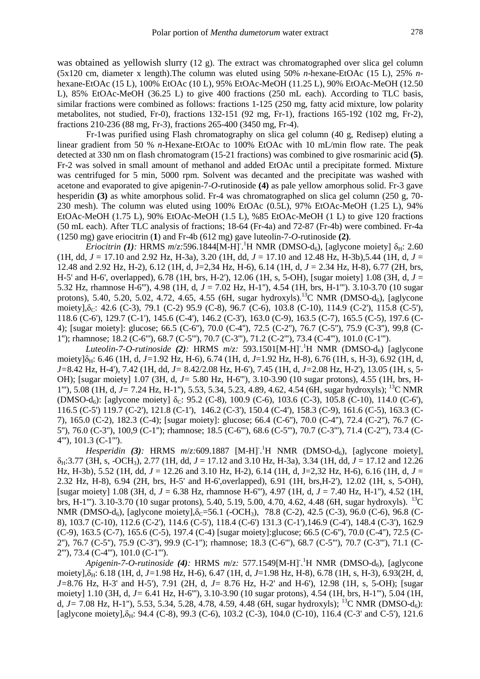was obtained as yellowish slurry (12 g). The extract was chromatographed over slica gel column (5x120 cm, diameter x length).The column was eluted using 50% *n*-hexane-EtOAc (15 L), 25% *n*hexane-EtOAc (15 L), 100% EtOAc (10 L), 95% EtOAc-MeOH (11.25 L), 90% EtOAc-MeOH (12.50 L), 85% EtOAc-MeOH (36.25 L) to give 400 fractions (250 mL each). According to TLC basis, similar fractions were combined as follows: fractions 1-125 (250 mg, fatty acid mixture, low polarity metabolites, not studied, Fr-0), fractions 132-151 (92 mg, Fr-1), fractions 165-192 (102 mg, Fr-2), fractions 210-236 (88 mg, Fr-3), fractions 265-400 (3450 mg, Fr-4).

Fr-1was purified using Flash chromatography on slica gel column (40 g, Redisep) eluting a linear gradient from 50 % *n*-Hexane-EtOAc to 100% EtOAc with 10 mL/min flow rate. The peak detected at 330 nm on flash chromatogram (15-21 fractions) was combined to give rosmarinic acid **(5)**. Fr-2 was solved in small amount of methanol and added EtOAc until a precipitate formed. Mixture was centrifuged for 5 min, 5000 rpm. Solvent was decanted and the precipitate was washed with acetone and evaporated to give apigenin-7-*O*-rutinoside **(4)** as pale yellow amorphous solid. Fr-3 gave hesperidin **(3)** as white amorphous solid. Fr-4 was chromatographed on slica gel column (250 g, 70- 230 mesh). The column was eluted using 100% EtOAc (0.5L), 97% EtOAc-MeOH (1.25 L), 94% EtOAc-MeOH (1.75 L), 90% EtOAc-MeOH (1.5 L), %85 EtOAc-MeOH (1 L) to give 120 fractions (50 mL each). After TLC analysis of fractions; 18-64 (Fr-4a) and 72-87 (Fr-4b) were combined. Fr-4a (1250 mg) gave eriocitrin (**1**) and Fr-4b (612 mg) gave luteolin-7-*O*-rutinoside **(2)**.

*Eriocitrin* (1): HRMS  $m/z$ : 596.1844[M-H]<sup>-1</sup>H NMR (DMSO-d<sub>6</sub>), [aglycone moiety]  $\delta_{\rm H}$ : 2.60 (1H, dd, *J* = 17.10 and 2.92 Hz, H-3a), 3.20 (1H, dd, *J* = 17.10 and 12.48 Hz, H-3b),5.44 (1H, d, *J* = 12.48 and 2.92 Hz, H-2), 6.12 (1H, d, J=2,34 Hz, H-6), 6.14 (1H, d, *J* = 2.34 Hz, H-8), 6.77 (2H, brs, H-5' and H-6', overlapped), 6.78 (1H, brs, H-2'), 12.06 (1H, s, 5-OH), [sugar moiety] 1.08 (3H, d, *J* = 5.32 Hz, rhamnose H-6'''), 4.98 (1H, d, *J* = 7.02 Hz, H-1''), 4.54 (1H, brs, H-1'''). 3.10-3.70 (10 sugar protons), 5.40, 5.20, 5.02, 4.72, 4.65, 4.55 (6H, sugar hydroxyls).<sup>13</sup>C NMR (DMSO-d<sub>6</sub>), [aglycone moiety], $\delta_c$ : 42.6 (C-3), 79.1 (C-2) 95.9 (C-8), 96.7 (C-6), 103.8 (C-10), 114.9 (C-2'), 115.8 (C-5'), 118.6 (C-6'), 129.7 (C-1'), 145.6 (C-4'), 146.2 (C-3'), 163.0 (C-9), 163.5 (C-7), 165.5 (C-5), 197.6 (C-4); [sugar moiety]: glucose; 66.5 (C-6''), 70.0 (C-4''), 72.5 (C-2''), 76.7 (C-5''), 75.9 (C-3''), 99,8 (C-1''); rhamnose; 18.2 (C-6'''), 68.7 (C-5'''), 70.7 (C-3'''), 71.2 (C-2'''), 73.4 (C-4'''), 101.0 (C-1''').

*Luteolin-7-O-rutinoside* (2): HRMS  $m/z$ : 593.1501[M-H]<sup>-1</sup>H NMR (DMSO-d<sub>6</sub>) [aglycone moiety]δ<sub>H</sub>: 6.46 (1H, d, *J*=1.92 Hz, H-6), 6.74 (1H, d, *J*=1.92 Hz, H-8), 6.76 (1H, s, H-3), 6.92 (1H, d, *J=*8.42 Hz, H-4'), 7.42 (1H, dd, *J=* 8.42/2.08 Hz, H-6'), 7.45 (1H, d, *J=*2.08 Hz, H-2'), 13.05 (1H, s, 5- OH); [sugar moiety] 1.07 (3H, d, *J=* 5.80 Hz, H-6'''), 3.10-3.90 (10 sugar protons), 4.55 (1H, brs, H-1'''), 5.08 (1H, d, *J=* 7.24 Hz, H-1''), 5.53, 5.34, 5.23, 4.89, 4.62, 4.54 (6H, sugar hydroxyls); <sup>13</sup>C NMR (DMSO-d<sub>6</sub>): [aglycone moiety]  $\delta_C$ : 95.2 (C-8), 100.9 (C-6), 103.6 (C-3), 105.8 (C-10), 114.0 (C-6'), 116.5 (C-5') 119.7 (C-2'), 121.8 (C-1'), 146.2 (C-3'), 150.4 (C-4'), 158.3 (C-9), 161.6 (C-5), 163.3 (C-7), 165.0 (C-2), 182.3 (C-4); [sugar moiety]: glucose; 66.4 (C-6''), 70.0 (C-4''), 72.4 (C-2''), 76.7 (C-5''), 76.0 (C-3''), 100,9 (C-1''); rhamnose; 18.5 (C-6'''), 68.6 (C-5'''), 70.7 (C-3'''), 71.4 (C-2'''), 73.4 (C-4'''), 101.3 (C-1''').

*Hesperidin* (3): HRMS  $m/z$ :609.1887 [M-H]<sup>-1</sup>H NMR (DMSO-d<sub>6</sub>), [aglycone moiety], δH:3.77 (3H, s, -OCH3), 2.77 (1H, dd, *J* = 17.12 and 3.10 Hz, H-3a), 3.34 (1H, dd, *J* = 17.12 and 12.26 Hz, H-3b), 5.52 (1H, dd, *J* = 12.26 and 3.10 Hz, H-2), 6.14 (1H, d, J=2,32 Hz, H-6), 6.16 (1H, d, *J* = 2.32 Hz, H-8), 6.94 (2H, brs, H-5' and H-6',overlapped), 6.91 (1H, brs,H-2'), 12.02 (1H, s, 5-OH), [sugar moiety] 1.08 (3H, d, *J* = 6.38 Hz, rhamnose H-6'''), 4.97 (1H, d, *J* = 7.40 Hz, H-1''), 4.52 (1H, brs, H-1"'). 3.10-3.70 (10 sugar protons), 5.40, 5.19, 5.00, 4.70, 4.62, 4.48 (6H, sugar hydroxyls). <sup>13</sup>C NMR (DMSO-d<sub>6</sub>), [aglycone moiety], $\delta$ <sub>C</sub>=56.1 (-OCH<sub>3</sub>), 78.8 (C-2), 42.5 (C-3), 96.0 (C-6), 96.8 (C-8), 103.7 (C-10), 112.6 (C-2'), 114.6 (C-5'), 118.4 (C-6') 131.3 (C-1'),146.9 (C-4'), 148.4 (C-3'), 162.9 (C-9), 163.5 (C-7), 165.6 (C-5), 197.4 (C-4) [sugar moiety]:glucose; 66.5 (C-6''), 70.0 (C-4''), 72.5 (C-2''), 76.7 (C-5''), 75.9 (C-3''), 99.9 (C-1''); rhamnose; 18.3 (C-6'''), 68.7 (C-5'''), 70.7 (C-3'''), 71.1 (C-2'''), 73.4 (C-4'''), 101.0 (C-1''').

*Apigenin-7-O-rutinoside (4):* HRMS *m*/*z:* 577.1549[M-H]- . <sup>1</sup>H NMR (DMSO-d6), [aglycone moiety],δ<sub>H</sub>: 6.18 (1H, d, *J*=1.98 Hz, H-6), 6.47 (1H, d, *J*=1.98 Hz, H-8), 6.78 (1H, s, H-3), 6.93(2H, d, *J=*8.76 Hz, H-3' and H-5'), 7.91 (2H, d, *J=* 8.76 Hz, H-2' and H-6'), 12.98 (1H, s, 5-OH); [sugar moiety] 1.10 (3H, d, *J=* 6.41 Hz, H-6'''), 3.10-3.90 (10 sugar protons), 4.54 (1H, brs, H-1'''), 5.04 (1H, d,  $J=7.08$  Hz, H-1"), 5.53, 5.34, 5.28, 4.78, 4.59, 4.48 (6H, sugar hydroxyls); <sup>13</sup>C NMR (DMSO-d<sub>6</sub>): [aglycone moiety], $\delta_{H}$ : 94.4 (C-8), 99.3 (C-6), 103.2 (C-3), 104.0 (C-10), 116.4 (C-3' and C-5'), 121.6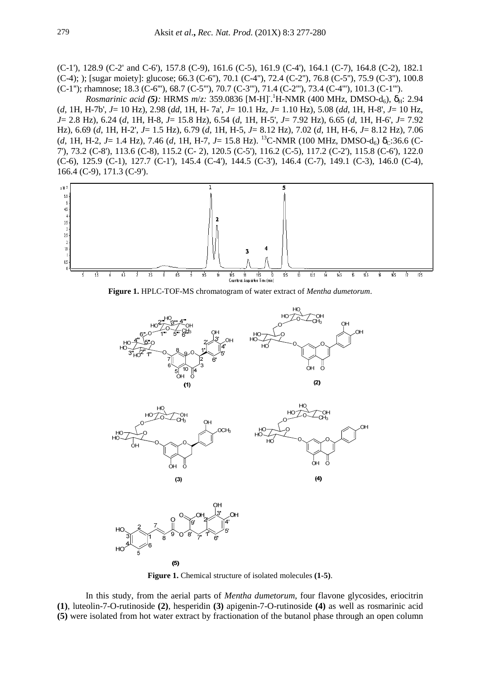(C-1'), 128.9 (C-2' and C-6'), 157.8 (C-9), 161.6 (C-5), 161.9 (C-4'), 164.1 (C-7), 164.8 (C-2), 182.1 (C-4); ); [sugar moiety]: glucose; 66.3 (C-6''), 70.1 (C-4''), 72.4 (C-2''), 76.8 (C-5''), 75.9 (C-3''), 100.8 (C-1''); rhamnose; 18.3 (C-6'''), 68.7 (C-5'''), 70.7 (C-3'''), 71.4 (C-2'''), 73.4 (C-4'''), 101.3 (C-1''').

*Rosmarinic acid (5):* HRMS *m/z:* 359.0836 [M-H]<sup>-</sup>.<sup>1</sup>H-NMR (400 MHz, DMSO-d<sub>6</sub>), δ<sub>H</sub>: 2.94 (*d*, 1H, H-7b', *J*= 10 Hz), 2.98 (*dd*, 1H, H- 7a', *J*= 10.1 Hz, *J*= 1.10 Hz), 5.08 (*dd*, 1H, H-8', *J*= 10 Hz, *J*= 2.8 Hz), 6.24 (*d*, 1H, H-8, *J*= 15.8 Hz), 6.54 (*d*, 1H, H-5', *J*= 7.92 Hz), 6.65 (*d*, 1H, H-6', *J*= 7.92 Hz), 6.69 (*d*, 1H, H-2', *J*= 1.5 Hz), 6.79 (*d*, 1H, H-5, *J*= 8.12 Hz), 7.02 (*d*, 1H, H-6, *J*= 8.12 Hz), 7.06 (*d*, 1H, H-2, *J*= 1.4 Hz), 7.46 (*d*, 1H, H-7, *J*= 15.8 Hz). <sup>13</sup>C-NMR (100 MHz, DMSO-d<sub>6</sub>)  $\delta$ <sub>C</sub>:36.6 (C-7'), 73.2 (C-8'), 113.6 (C-8), 115.2 (C- 2), 120.5 (C-5'), 116.2 (C-5), 117.2 (C-2'), 115.8 (C-6'), 122.0 (C-6), 125.9 (C-1), 127.7 (C-1'), 145.4 (C-4'), 144.5 (C-3'), 146.4 (C-7), 149.1 (C-3), 146.0 (C-4), 166.4 (C-9), 171.3 (C-9').



**Figure 1.** HPLC-TOF-MS chromatogram of water extract of *Mentha dumetorum*.



**Figure 1.** Chemical structure of isolated molecules **(1-5)**.

In this study, from the aerial parts of *Mentha dumetorum*, four flavone glycosides, eriocitrin **(1)**, luteolin-7-O-rutinoside **(2)**, hesperidin **(3)** apigenin-7-O-rutinoside **(4)** as well as rosmarinic acid **(5)** were isolated from hot water extract by fractionation of the butanol phase through an open column